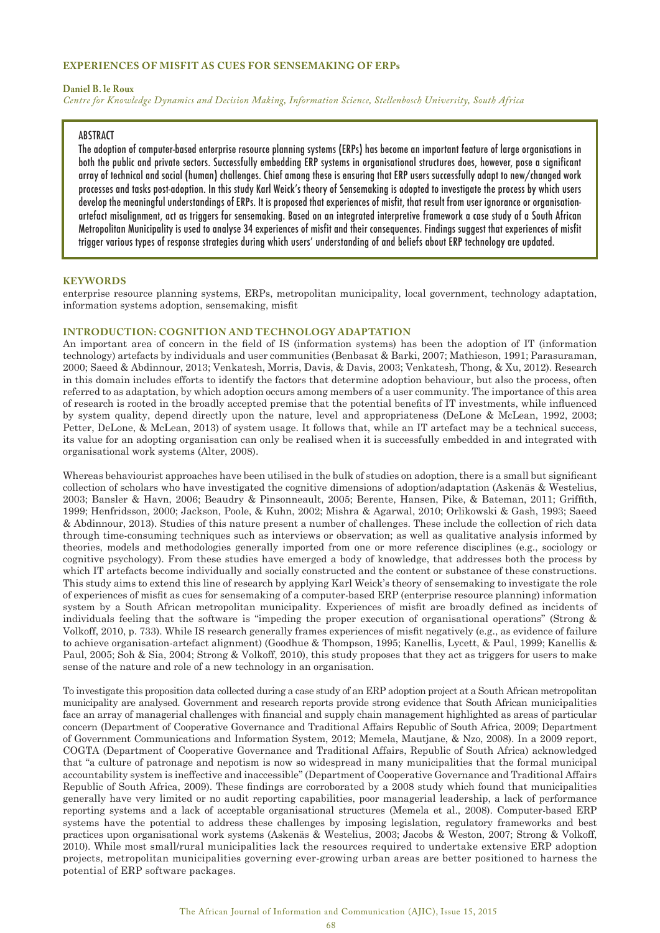## **EXPERIENCES OF MISFIT AS CUES FOR SENSEMAKING OF ERPs**

**Daniel B. le Roux**

*Centre for Knowledge Dynamics and Decision Making, Information Science, Stellenbosch University, South Africa*

# ABSTRACT

The adoption of computer-based enterprise resource planning systems (ERPs) has become an important feature of large organisations in both the public and private sectors. Successfully embedding ERP systems in organisational structures does, however, pose a significant array of technical and social (human) challenges. Chief among these is ensuring that ERP users successfully adapt to new/changed work processes and tasks post-adoption. In this study Karl Weick's theory of Sensemaking is adopted to investigate the process by which users develop the meaningful understandings of ERPs. It is proposed that experiences of misfit, that result from user ignorance or organisationartefact misalignment, act as triggers for sensemaking. Based on an integrated interpretive framework a case study of a South African Metropolitan Municipality is used to analyse 34 experiences of misfit and their consequences. Findings suggest that experiences of misfit trigger various types of response strategies during which users' understanding of and beliefs about ERP technology are updated.

## **KEYWORDS**

enterprise resource planning systems, ERPs, metropolitan municipality, local government, technology adaptation, information systems adoption, sensemaking, misfit

## **INTRODUCTION: COGNITION AND TECHNOLOGY ADAPTATION**

An important area of concern in the field of IS (information systems) has been the adoption of IT (information technology) artefacts by individuals and user communities (Benbasat & Barki, 2007; Mathieson, 1991; Parasuraman, 2000; Saeed & Abdinnour, 2013; Venkatesh, Morris, Davis, & Davis, 2003; Venkatesh, Thong, & Xu, 2012). Research in this domain includes efforts to identify the factors that determine adoption behaviour, but also the process, often referred to as adaptation, by which adoption occurs among members of a user community. The importance of this area of research is rooted in the broadly accepted premise that the potential benefits of IT investments, while influenced by system quality, depend directly upon the nature, level and appropriateness (DeLone & McLean, 1992, 2003; Petter, DeLone, & McLean, 2013) of system usage. It follows that, while an IT artefact may be a technical success, its value for an adopting organisation can only be realised when it is successfully embedded in and integrated with organisational work systems (Alter, 2008).

Whereas behaviourist approaches have been utilised in the bulk of studies on adoption, there is a small but significant collection of scholars who have investigated the cognitive dimensions of adoption/adaptation (Askenäs & Westelius, 2003; Bansler & Havn, 2006; Beaudry & Pinsonneault, 2005; Berente, Hansen, Pike, & Bateman, 2011; Griffith, 1999; Henfridsson, 2000; Jackson, Poole, & Kuhn, 2002; Mishra & Agarwal, 2010; Orlikowski & Gash, 1993; Saeed & Abdinnour, 2013). Studies of this nature present a number of challenges. These include the collection of rich data through time-consuming techniques such as interviews or observation; as well as qualitative analysis informed by theories, models and methodologies generally imported from one or more reference disciplines (e.g., sociology or cognitive psychology). From these studies have emerged a body of knowledge, that addresses both the process by which IT artefacts become individually and socially constructed and the content or substance of these constructions. This study aims to extend this line of research by applying Karl Weick's theory of sensemaking to investigate the role of experiences of misfit as cues for sensemaking of a computer-based ERP (enterprise resource planning) information system by a South African metropolitan municipality. Experiences of misfit are broadly defined as incidents of individuals feeling that the software is "impeding the proper execution of organisational operations" (Strong & Volkoff, 2010, p. 733). While IS research generally frames experiences of misfit negatively (e.g., as evidence of failure to achieve organisation-artefact alignment) (Goodhue & Thompson, 1995; Kanellis, Lycett, & Paul, 1999; Kanellis & Paul, 2005; Soh & Sia, 2004; Strong & Volkoff, 2010), this study proposes that they act as triggers for users to make sense of the nature and role of a new technology in an organisation.

To investigate this proposition data collected during a case study of an ERP adoption project at a South African metropolitan municipality are analysed. Government and research reports provide strong evidence that South African municipalities face an array of managerial challenges with financial and supply chain management highlighted as areas of particular concern (Department of Cooperative Governance and Traditional Affairs Republic of South Africa, 2009; Department of Government Communications and Information System, 2012; Memela, Mautjane, & Nzo, 2008). In a 2009 report, COGTA (Department of Cooperative Governance and Traditional Affairs, Republic of South Africa) acknowledged that "a culture of patronage and nepotism is now so widespread in many municipalities that the formal municipal accountability system is ineffective and inaccessible'' (Department of Cooperative Governance and Traditional Affairs Republic of South Africa, 2009). These findings are corroborated by a 2008 study which found that municipalities generally have very limited or no audit reporting capabilities, poor managerial leadership, a lack of performance reporting systems and a lack of acceptable organisational structures (Memela et al., 2008). Computer-based ERP systems have the potential to address these challenges by imposing legislation, regulatory frameworks and best practices upon organisational work systems (Askenäs & Westelius, 2003; Jacobs & Weston, 2007; Strong & Volkoff, 2010). While most small/rural municipalities lack the resources required to undertake extensive ERP adoption projects, metropolitan municipalities governing ever-growing urban areas are better positioned to harness the potential of ERP software packages.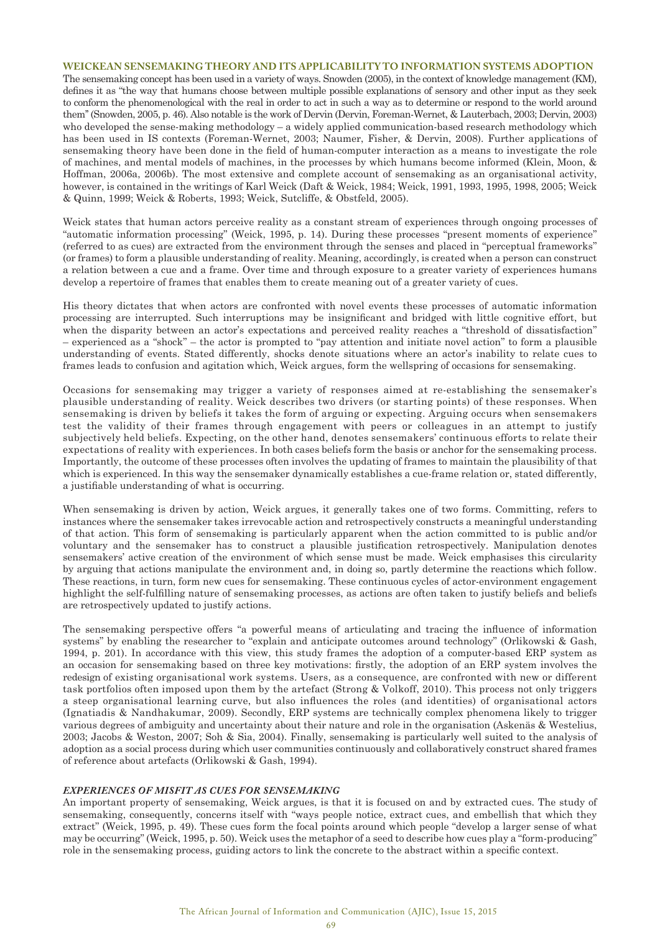**WEICKEAN SENSEMAKING THEORY AND ITS APPLICABILITY TO INFORMATION SYSTEMS ADOPTION** The sensemaking concept has been used in a variety of ways. Snowden (2005), in the context of knowledge management (KM), defines it as "the way that humans choose between multiple possible explanations of sensory and other input as they seek to conform the phenomenological with the real in order to act in such a way as to determine or respond to the world around them'' (Snowden, 2005, p. 46). Also notable is the work of Dervin (Dervin, Foreman-Wernet, & Lauterbach, 2003; Dervin, 2003) who developed the sense-making methodology – a widely applied communication-based research methodology which has been used in IS contexts (Foreman-Wernet, 2003; Naumer, Fisher, & Dervin, 2008). Further applications of sensemaking theory have been done in the field of human-computer interaction as a means to investigate the role of machines, and mental models of machines, in the processes by which humans become informed (Klein, Moon, & Hoffman, 2006a, 2006b). The most extensive and complete account of sensemaking as an organisational activity, however, is contained in the writings of Karl Weick (Daft & Weick, 1984; Weick, 1991, 1993, 1995, 1998, 2005; Weick & Quinn, 1999; Weick & Roberts, 1993; Weick, Sutcliffe, & Obstfeld, 2005).

Weick states that human actors perceive reality as a constant stream of experiences through ongoing processes of "automatic information processing'' (Weick, 1995, p. 14). During these processes "present moments of experience'' (referred to as cues) are extracted from the environment through the senses and placed in "perceptual frameworks'' (or frames) to form a plausible understanding of reality. Meaning, accordingly, is created when a person can construct a relation between a cue and a frame. Over time and through exposure to a greater variety of experiences humans develop a repertoire of frames that enables them to create meaning out of a greater variety of cues.

His theory dictates that when actors are confronted with novel events these processes of automatic information processing are interrupted. Such interruptions may be insignificant and bridged with little cognitive effort, but when the disparity between an actor's expectations and perceived reality reaches a "threshold of dissatisfaction" – experienced as a "shock'' – the actor is prompted to "pay attention and initiate novel action'' to form a plausible understanding of events. Stated differently, shocks denote situations where an actor's inability to relate cues to frames leads to confusion and agitation which, Weick argues, form the wellspring of occasions for sensemaking.

Occasions for sensemaking may trigger a variety of responses aimed at re-establishing the sensemaker's plausible understanding of reality. Weick describes two drivers (or starting points) of these responses. When sensemaking is driven by beliefs it takes the form of arguing or expecting. Arguing occurs when sensemakers test the validity of their frames through engagement with peers or colleagues in an attempt to justify subjectively held beliefs. Expecting, on the other hand, denotes sensemakers' continuous efforts to relate their expectations of reality with experiences. In both cases beliefs form the basis or anchor for the sensemaking process. Importantly, the outcome of these processes often involves the updating of frames to maintain the plausibility of that which is experienced. In this way the sensemaker dynamically establishes a cue-frame relation or, stated differently, a justifiable understanding of what is occurring.

When sensemaking is driven by action, Weick argues, it generally takes one of two forms. Committing, refers to instances where the sensemaker takes irrevocable action and retrospectively constructs a meaningful understanding of that action. This form of sensemaking is particularly apparent when the action committed to is public and/or voluntary and the sensemaker has to construct a plausible justification retrospectively. Manipulation denotes sensemakers' active creation of the environment of which sense must be made. Weick emphasises this circularity by arguing that actions manipulate the environment and, in doing so, partly determine the reactions which follow. These reactions, in turn, form new cues for sensemaking. These continuous cycles of actor-environment engagement highlight the self-fulfilling nature of sensemaking processes, as actions are often taken to justify beliefs and beliefs are retrospectively updated to justify actions.

The sensemaking perspective offers "a powerful means of articulating and tracing the influence of information systems" by enabling the researcher to "explain and anticipate outcomes around technology" (Orlikowski & Gash, 1994, p. 201). In accordance with this view, this study frames the adoption of a computer-based ERP system as an occasion for sensemaking based on three key motivations: firstly, the adoption of an ERP system involves the redesign of existing organisational work systems. Users, as a consequence, are confronted with new or different task portfolios often imposed upon them by the artefact (Strong & Volkoff, 2010). This process not only triggers a steep organisational learning curve, but also influences the roles (and identities) of organisational actors (Ignatiadis & Nandhakumar, 2009). Secondly, ERP systems are technically complex phenomena likely to trigger various degrees of ambiguity and uncertainty about their nature and role in the organisation (Askenäs & Westelius, 2003; Jacobs & Weston, 2007; Soh & Sia, 2004). Finally, sensemaking is particularly well suited to the analysis of adoption as a social process during which user communities continuously and collaboratively construct shared frames of reference about artefacts (Orlikowski & Gash, 1994).

# *EXPERIENCES OF MISFIT AS CUES FOR SENSEMAKING*

An important property of sensemaking, Weick argues, is that it is focused on and by extracted cues. The study of sensemaking, consequently, concerns itself with "ways people notice, extract cues, and embellish that which they extract" (Weick, 1995, p. 49). These cues form the focal points around which people "develop a larger sense of what may be occurring" (Weick, 1995, p. 50). Weick uses the metaphor of a seed to describe how cues play a "form-producing'' role in the sensemaking process, guiding actors to link the concrete to the abstract within a specific context.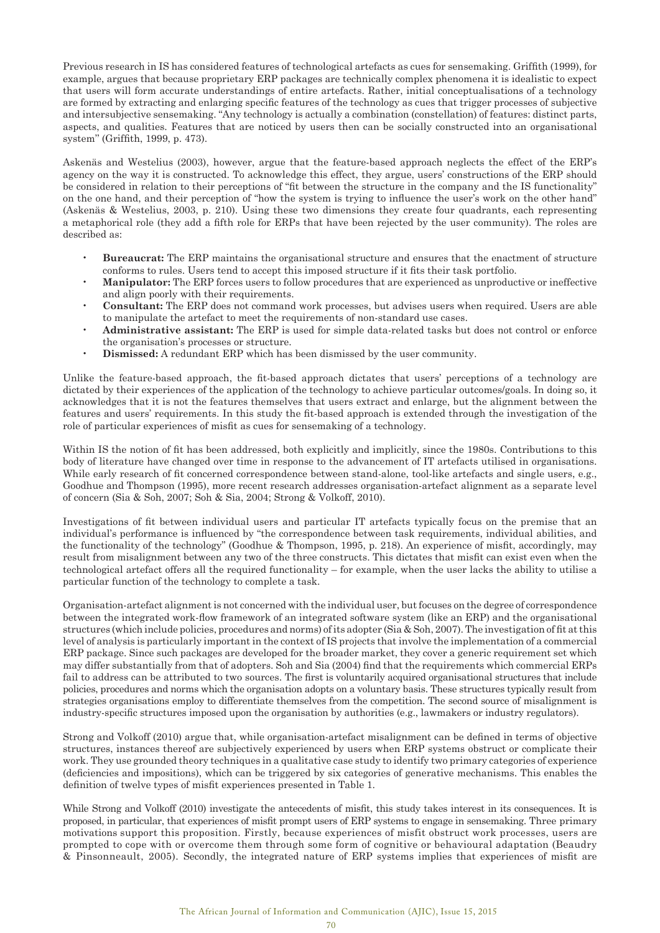Previous research in IS has considered features of technological artefacts as cues for sensemaking. Griffith (1999), for example, argues that because proprietary ERP packages are technically complex phenomena it is idealistic to expect that users will form accurate understandings of entire artefacts. Rather, initial conceptualisations of a technology are formed by extracting and enlarging specific features of the technology as cues that trigger processes of subjective and intersubjective sensemaking. "Any technology is actually a combination (constellation) of features: distinct parts, aspects, and qualities. Features that are noticed by users then can be socially constructed into an organisational system'' (Griffith, 1999, p. 473).

Askenäs and Westelius (2003), however, argue that the feature-based approach neglects the effect of the ERP's agency on the way it is constructed. To acknowledge this effect, they argue, users' constructions of the ERP should be considered in relation to their perceptions of "fit between the structure in the company and the IS functionality" on the one hand, and their perception of "how the system is trying to influence the user's work on the other hand" (Askenäs & Westelius, 2003, p. 210). Using these two dimensions they create four quadrants, each representing a metaphorical role (they add a fifth role for ERPs that have been rejected by the user community). The roles are described as:

- **Bureaucrat:** The ERP maintains the organisational structure and ensures that the enactment of structure conforms to rules. Users tend to accept this imposed structure if it fits their task portfolio.
- **Manipulator:** The ERP forces users to follow procedures that are experienced as unproductive or ineffective and align poorly with their requirements.
- **Consultant:** The ERP does not command work processes, but advises users when required. Users are able to manipulate the artefact to meet the requirements of non-standard use cases.
- **Administrative assistant:** The ERP is used for simple data-related tasks but does not control or enforce the organisation's processes or structure.
- **Dismissed:** A redundant ERP which has been dismissed by the user community.

Unlike the feature-based approach, the fit-based approach dictates that users' perceptions of a technology are dictated by their experiences of the application of the technology to achieve particular outcomes/goals. In doing so, it acknowledges that it is not the features themselves that users extract and enlarge, but the alignment between the features and users' requirements. In this study the fit-based approach is extended through the investigation of the role of particular experiences of misfit as cues for sensemaking of a technology.

Within IS the notion of fit has been addressed, both explicitly and implicitly, since the 1980s. Contributions to this body of literature have changed over time in response to the advancement of IT artefacts utilised in organisations. While early research of fit concerned correspondence between stand-alone, tool-like artefacts and single users, e.g., Goodhue and Thompson (1995), more recent research addresses organisation-artefact alignment as a separate level of concern (Sia & Soh, 2007; Soh & Sia, 2004; Strong & Volkoff, 2010).

Investigations of fit between individual users and particular IT artefacts typically focus on the premise that an individual's performance is influenced by "the correspondence between task requirements, individual abilities, and the functionality of the technology" (Goodhue & Thompson, 1995, p. 218). An experience of misfit, accordingly, may result from misalignment between any two of the three constructs. This dictates that misfit can exist even when the technological artefact offers all the required functionality – for example, when the user lacks the ability to utilise a particular function of the technology to complete a task.

Organisation-artefact alignment is not concerned with the individual user, but focuses on the degree of correspondence between the integrated work-flow framework of an integrated software system (like an ERP) and the organisational structures (which include policies, procedures and norms) of its adopter (Sia & Soh, 2007). The investigation of fit at this level of analysis is particularly important in the context of IS projects that involve the implementation of a commercial ERP package. Since such packages are developed for the broader market, they cover a generic requirement set which may differ substantially from that of adopters. Soh and Sia (2004) find that the requirements which commercial ERPs fail to address can be attributed to two sources. The first is voluntarily acquired organisational structures that include policies, procedures and norms which the organisation adopts on a voluntary basis. These structures typically result from strategies organisations employ to differentiate themselves from the competition. The second source of misalignment is industry-specific structures imposed upon the organisation by authorities (e.g., lawmakers or industry regulators).

Strong and Volkoff (2010) argue that, while organisation-artefact misalignment can be defined in terms of objective structures, instances thereof are subjectively experienced by users when ERP systems obstruct or complicate their work. They use grounded theory techniques in a qualitative case study to identify two primary categories of experience (deficiencies and impositions), which can be triggered by six categories of generative mechanisms. This enables the definition of twelve types of misfit experiences presented in Table 1.

While Strong and Volkoff (2010) investigate the antecedents of misfit, this study takes interest in its consequences. It is proposed, in particular, that experiences of misfit prompt users of ERP systems to engage in sensemaking. Three primary motivations support this proposition. Firstly, because experiences of misfit obstruct work processes, users are prompted to cope with or overcome them through some form of cognitive or behavioural adaptation (Beaudry & Pinsonneault, 2005). Secondly, the integrated nature of ERP systems implies that experiences of misfit are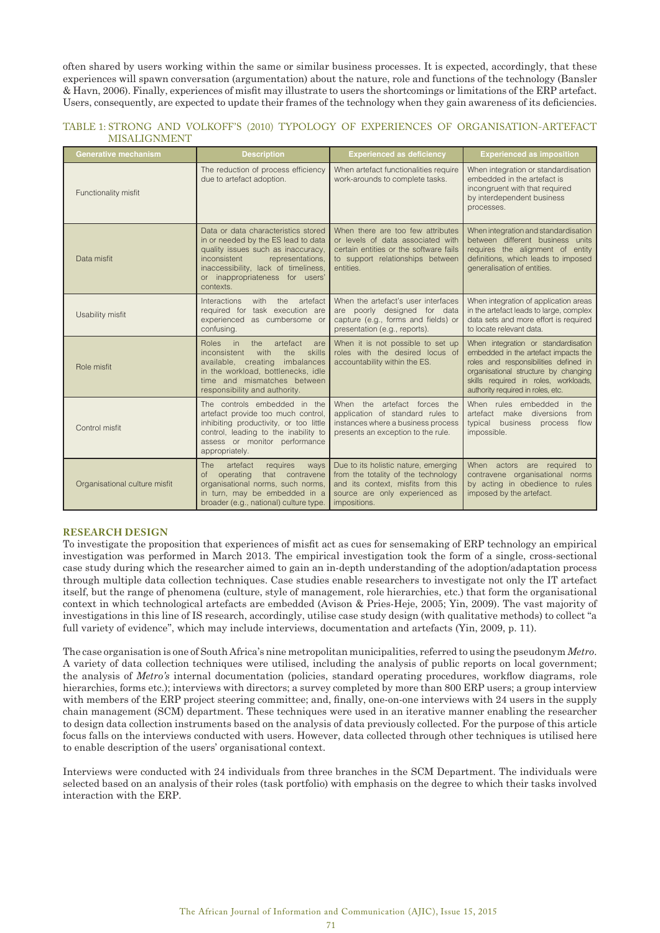often shared by users working within the same or similar business processes. It is expected, accordingly, that these experiences will spawn conversation (argumentation) about the nature, role and functions of the technology (Bansler & Havn, 2006). Finally, experiences of misfit may illustrate to users the shortcomings or limitations of the ERP artefact. Users, consequently, are expected to update their frames of the technology when they gain awareness of its deficiencies.

|                     |  |  |  | TABLE 1: STRONG AND VOLKOFF'S (2010) TYPOLOGY OF EXPERIENCES OF ORGANISATION-ARTEFACT |
|---------------------|--|--|--|---------------------------------------------------------------------------------------|
| <b>MISALIGNMENT</b> |  |  |  |                                                                                       |

| <b>Generative mechanism</b>   | <b>Description</b>                                                                                                                                                                                                                           | <b>Experienced as deficiency</b>                                                                                                                                    | <b>Experienced as imposition</b>                                                                                                                                                                                                          |
|-------------------------------|----------------------------------------------------------------------------------------------------------------------------------------------------------------------------------------------------------------------------------------------|---------------------------------------------------------------------------------------------------------------------------------------------------------------------|-------------------------------------------------------------------------------------------------------------------------------------------------------------------------------------------------------------------------------------------|
| Functionality misfit          | The reduction of process efficiency<br>due to artefact adoption.                                                                                                                                                                             | When artefact functionalities require<br>work-arounds to complete tasks.                                                                                            | When integration or standardisation<br>embedded in the artefact is<br>incongruent with that required<br>by interdependent business<br>processes.                                                                                          |
| Data misfit                   | Data or data characteristics stored<br>in or needed by the ES lead to data<br>quality issues such as inaccuracy,<br>inconsistent<br>representations.<br>inaccessibility, lack of timeliness,<br>or inappropriateness for users'<br>contexts. | When there are too few attributes<br>or levels of data associated with<br>certain entities or the software fails<br>to support relationships between<br>entities.   | When integration and standardisation<br>between different business units<br>requires the alignment of entity<br>definitions, which leads to imposed<br>generalisation of entities.                                                        |
| Usability misfit              | artefact<br>Interactions<br>the<br>with<br>required for task execution are<br>experienced as cumbersome or<br>confusing.                                                                                                                     | When the artefact's user interfaces<br>are poorly designed for data<br>capture (e.g., forms and fields) or<br>presentation (e.g., reports).                         | When integration of application areas<br>in the artefact leads to large, complex<br>data sets and more effort is required<br>to locate relevant data.                                                                                     |
| Role misfit                   | Roles in<br>the<br>artefact<br>are<br>with<br>the<br>skills<br><i>inconsistent</i><br>available, creating imbalances<br>in the workload, bottlenecks, idle<br>time and mismatches between<br>responsibility and authority.                   | When it is not possible to set up<br>roles with the desired locus of<br>accountability within the ES.                                                               | When integration or standardisation<br>embedded in the artefact impacts the<br>roles and responsibilities defined in<br>organisational structure by changing<br>skills required in roles, workloads,<br>authority required in roles, etc. |
| Control misfit                | The controls embedded in the<br>artefact provide too much control,<br>inhibiting productivity, or too little<br>control, leading to the inability to<br>assess or monitor performance<br>appropriately.                                      | When the artefact forces the<br>application of standard rules to<br>instances where a business process<br>presents an exception to the rule.                        | When rules embedded in the<br>artefact make diversions<br>from<br>typical business process<br>flow<br>impossible.                                                                                                                         |
| Organisational culture misfit | <b>The</b><br>artefact<br>requires<br>ways<br><b>of</b><br>operating<br>that contravene<br>organisational norms, such norms,<br>in turn, may be embedded in a<br>broader (e.g., national) culture type.                                      | Due to its holistic nature, emerging<br>from the totality of the technology<br>and its context, misfits from this<br>source are only experienced as<br>impositions. | When actors are required to<br>contravene organisational norms<br>by acting in obedience to rules<br>imposed by the artefact.                                                                                                             |

## **RESEARCH DESIGN**

To investigate the proposition that experiences of misfit act as cues for sensemaking of ERP technology an empirical investigation was performed in March 2013. The empirical investigation took the form of a single, cross-sectional case study during which the researcher aimed to gain an in-depth understanding of the adoption/adaptation process through multiple data collection techniques. Case studies enable researchers to investigate not only the IT artefact itself, but the range of phenomena (culture, style of management, role hierarchies, etc.) that form the organisational context in which technological artefacts are embedded (Avison & Pries-Heje, 2005; Yin, 2009). The vast majority of investigations in this line of IS research, accordingly, utilise case study design (with qualitative methods) to collect "a full variety of evidence'', which may include interviews, documentation and artefacts (Yin, 2009, p. 11).

The case organisation is one of South Africa's nine metropolitan municipalities, referred to using the pseudonym *Metro*. A variety of data collection techniques were utilised, including the analysis of public reports on local government; the analysis of *Metro's* internal documentation (policies, standard operating procedures, workflow diagrams, role hierarchies, forms etc.); interviews with directors; a survey completed by more than 800 ERP users; a group interview with members of the ERP project steering committee; and, finally, one-on-one interviews with 24 users in the supply chain management (SCM) department. These techniques were used in an iterative manner enabling the researcher to design data collection instruments based on the analysis of data previously collected. For the purpose of this article focus falls on the interviews conducted with users. However, data collected through other techniques is utilised here to enable description of the users' organisational context.

Interviews were conducted with 24 individuals from three branches in the SCM Department. The individuals were selected based on an analysis of their roles (task portfolio) with emphasis on the degree to which their tasks involved interaction with the ERP.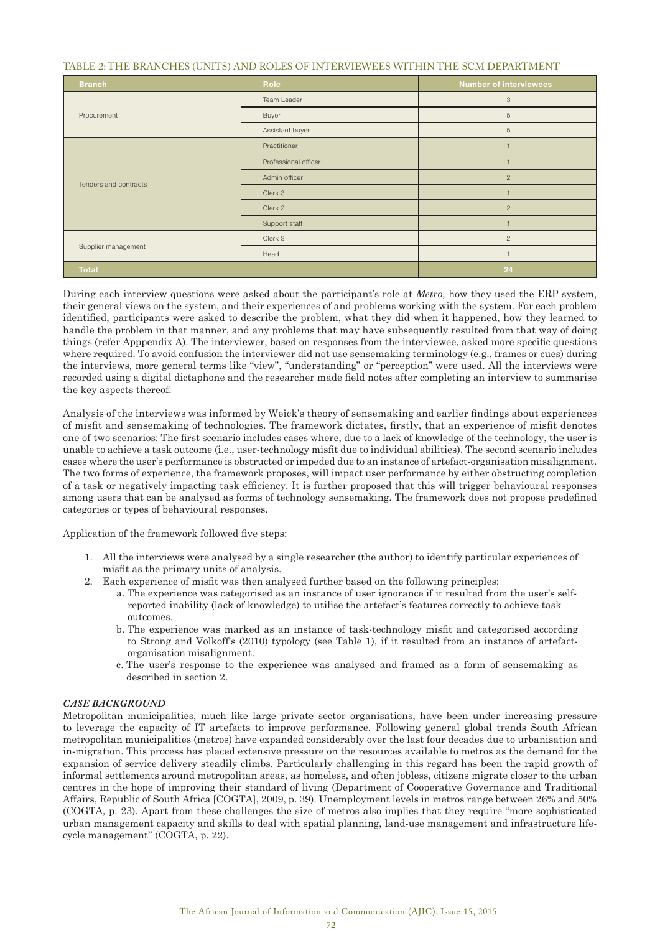## TABLE 2: THE BRANCHES (UNITS) AND ROLES OF INTERVIEWEES WITHIN THE SCM DEPARTMENT

| <b>Branch</b>         | Role                 | <b>Number of interviewees</b> |
|-----------------------|----------------------|-------------------------------|
|                       | Team Leader          | 3                             |
| Procurement           | Buyer                | 5                             |
|                       | Assistant buyer      | 5                             |
|                       | Practitioner         |                               |
|                       | Professional officer |                               |
| Tenders and contracts | Admin officer        | $\overline{2}$                |
|                       | Clerk 3              |                               |
|                       | Clerk 2              | $\overline{2}$                |
|                       | Support staff        |                               |
|                       | Clerk 3              | $\overline{2}$                |
| Supplier management   | Head                 |                               |
| <b>Total</b>          | 24                   |                               |

During each interview questions were asked about the participant's role at *Metro,* how they used the ERP system, their general views on the system, and their experiences of and problems working with the system. For each problem identified, participants were asked to describe the problem, what they did when it happened, how they learned to handle the problem in that manner, and any problems that may have subsequently resulted from that way of doing things (refer Apppendix A). The interviewer, based on responses from the interviewee, asked more specific questions where required. To avoid confusion the interviewer did not use sensemaking terminology (e.g., frames or cues) during the interviews, more general terms like "view", "understanding" or "perception" were used. All the interviews were recorded using a digital dictaphone and the researcher made field notes after completing an interview to summarise the key aspects thereof.

Analysis of the interviews was informed by Weick's theory of sensemaking and earlier findings about experiences of misfit and sensemaking of technologies. The framework dictates, firstly, that an experience of misfit denotes one of two scenarios: The first scenario includes cases where, due to a lack of knowledge of the technology, the user is unable to achieve a task outcome (i.e., user-technology misfit due to individual abilities). The second scenario includes cases where the user's performance is obstructed or impeded due to an instance of artefact-organisation misalignment. The two forms of experience, the framework proposes, will impact user performance by either obstructing completion of a task or negatively impacting task efficiency. It is further proposed that this will trigger behavioural responses among users that can be analysed as forms of technology sensemaking. The framework does not propose predefined categories or types of behavioural responses.

Application of the framework followed five steps:

- 1. All the interviews were analysed by a single researcher (the author) to identify particular experiences of misfit as the primary units of analysis.
- 2. Each experience of misfit was then analysed further based on the following principles:
	- a. The experience was categorised as an instance of user ignorance if it resulted from the user's self reported inability (lack of knowledge) to utilise the artefact's features correctly to achieve task outcomes.
	- b. The experience was marked as an instance of task-technology misfit and categorised according to Strong and Volkoff's (2010) typology (see Table 1), if it resulted from an instance of artefactorganisation misalignment.
	- c. The user's response to the experience was analysed and framed as a form of sensemaking as described in section 2.

# *CASE BACKGROUND*

Metropolitan municipalities, much like large private sector organisations, have been under increasing pressure to leverage the capacity of IT artefacts to improve performance. Following general global trends South African metropolitan municipalities (metros) have expanded considerably over the last four decades due to urbanisation and in-migration. This process has placed extensive pressure on the resources available to metros as the demand for the expansion of service delivery steadily climbs. Particularly challenging in this regard has been the rapid growth of informal settlements around metropolitan areas, as homeless, and often jobless, citizens migrate closer to the urban centres in the hope of improving their standard of living (Department of Cooperative Governance and Traditional Affairs, Republic of South Africa [COGTA], 2009, p. 39). Unemployment levels in metros range between 26% and 50% (COGTA, p. 23). Apart from these challenges the size of metros also implies that they require "more sophisticated urban management capacity and skills to deal with spatial planning, land-use management and infrastructure lifecycle management'' (COGTA, p. 22).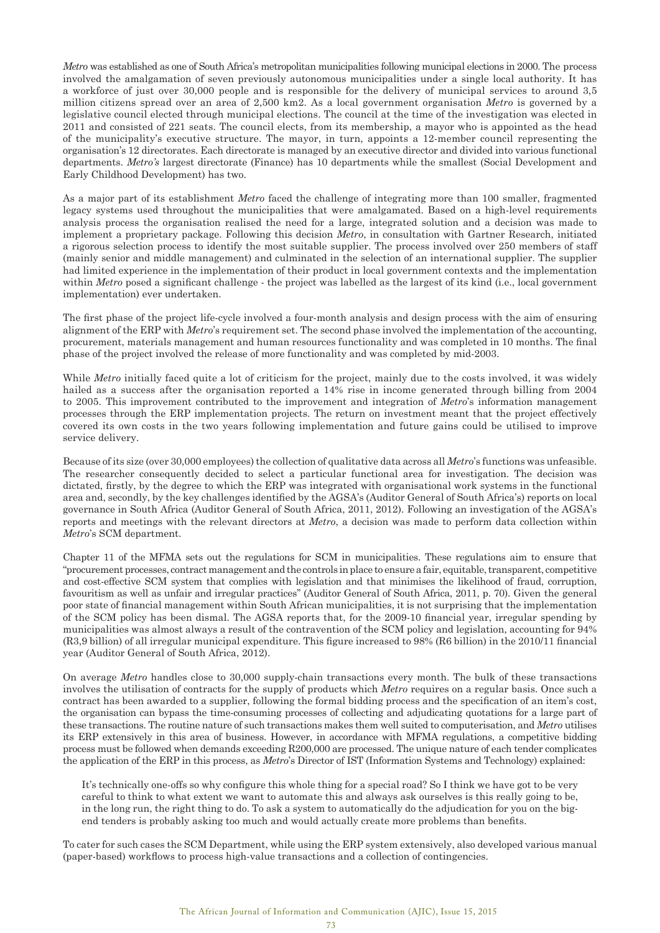*Metro* was established as one of South Africa's metropolitan municipalities following municipal elections in 2000. The process involved the amalgamation of seven previously autonomous municipalities under a single local authority. It has a workforce of just over 30,000 people and is responsible for the delivery of municipal services to around 3,5 million citizens spread over an area of 2,500 km2. As a local government organisation *Metro* is governed by a legislative council elected through municipal elections. The council at the time of the investigation was elected in 2011 and consisted of 221 seats. The council elects, from its membership, a mayor who is appointed as the head of the municipality's executive structure. The mayor, in turn, appoints a 12-member council representing the organisation's 12 directorates. Each directorate is managed by an executive director and divided into various functional departments. *Metro's* largest directorate (Finance) has 10 departments while the smallest (Social Development and Early Childhood Development) has two.

As a major part of its establishment *Metro* faced the challenge of integrating more than 100 smaller, fragmented legacy systems used throughout the municipalities that were amalgamated. Based on a high-level requirements analysis process the organisation realised the need for a large, integrated solution and a decision was made to implement a proprietary package. Following this decision *Metro*, in consultation with Gartner Research, initiated a rigorous selection process to identify the most suitable supplier. The process involved over 250 members of staff (mainly senior and middle management) and culminated in the selection of an international supplier. The supplier had limited experience in the implementation of their product in local government contexts and the implementation within *Metro* posed a significant challenge - the project was labelled as the largest of its kind (i.e., local government implementation) ever undertaken.

The first phase of the project life-cycle involved a four-month analysis and design process with the aim of ensuring alignment of the ERP with *Metro*'s requirement set. The second phase involved the implementation of the accounting, procurement, materials management and human resources functionality and was completed in 10 months. The final phase of the project involved the release of more functionality and was completed by mid-2003.

While *Metro* initially faced quite a lot of criticism for the project, mainly due to the costs involved, it was widely hailed as a success after the organisation reported a 14% rise in income generated through billing from 2004 to 2005. This improvement contributed to the improvement and integration of *Metro*'s information management processes through the ERP implementation projects. The return on investment meant that the project effectively covered its own costs in the two years following implementation and future gains could be utilised to improve service delivery.

Because of its size (over 30,000 employees) the collection of qualitative data across all *Metro*'s functions was unfeasible. The researcher consequently decided to select a particular functional area for investigation. The decision was dictated, firstly, by the degree to which the ERP was integrated with organisational work systems in the functional area and, secondly, by the key challenges identified by the AGSA's (Auditor General of South Africa's) reports on local governance in South Africa (Auditor General of South Africa, 2011, 2012). Following an investigation of the AGSA's reports and meetings with the relevant directors at *Metro*, a decision was made to perform data collection within *Metro*'s SCM department.

Chapter 11 of the MFMA sets out the regulations for SCM in municipalities. These regulations aim to ensure that "procurement processes, contract management and the controls in place to ensure a fair, equitable, transparent, competitive and cost-effective SCM system that complies with legislation and that minimises the likelihood of fraud, corruption, favouritism as well as unfair and irregular practices'' (Auditor General of South Africa, 2011, p. 70). Given the general poor state of financial management within South African municipalities, it is not surprising that the implementation of the SCM policy has been dismal. The AGSA reports that, for the 2009-10 financial year, irregular spending by municipalities was almost always a result of the contravention of the SCM policy and legislation, accounting for 94% (R3,9 billion) of all irregular municipal expenditure. This figure increased to 98% (R6 billion) in the 2010/11 financial year (Auditor General of South Africa, 2012).

On average *Metro* handles close to 30,000 supply-chain transactions every month. The bulk of these transactions involves the utilisation of contracts for the supply of products which *Metro* requires on a regular basis. Once such a contract has been awarded to a supplier, following the formal bidding process and the specification of an item's cost, the organisation can bypass the time-consuming processes of collecting and adjudicating quotations for a large part of these transactions. The routine nature of such transactions makes them well suited to computerisation, and *Metro* utilises its ERP extensively in this area of business. However, in accordance with MFMA regulations, a competitive bidding process must be followed when demands exceeding R200,000 are processed. The unique nature of each tender complicates the application of the ERP in this process, as *Metro*'s Director of IST (Information Systems and Technology) explained:

It's technically one-offs so why configure this whole thing for a special road? So I think we have got to be very careful to think to what extent we want to automate this and always ask ourselves is this really going to be, in the long run, the right thing to do. To ask a system to automatically do the adjudication for you on the bigend tenders is probably asking too much and would actually create more problems than benefits.

To cater for such cases the SCM Department, while using the ERP system extensively, also developed various manual (paper-based) workflows to process high-value transactions and a collection of contingencies.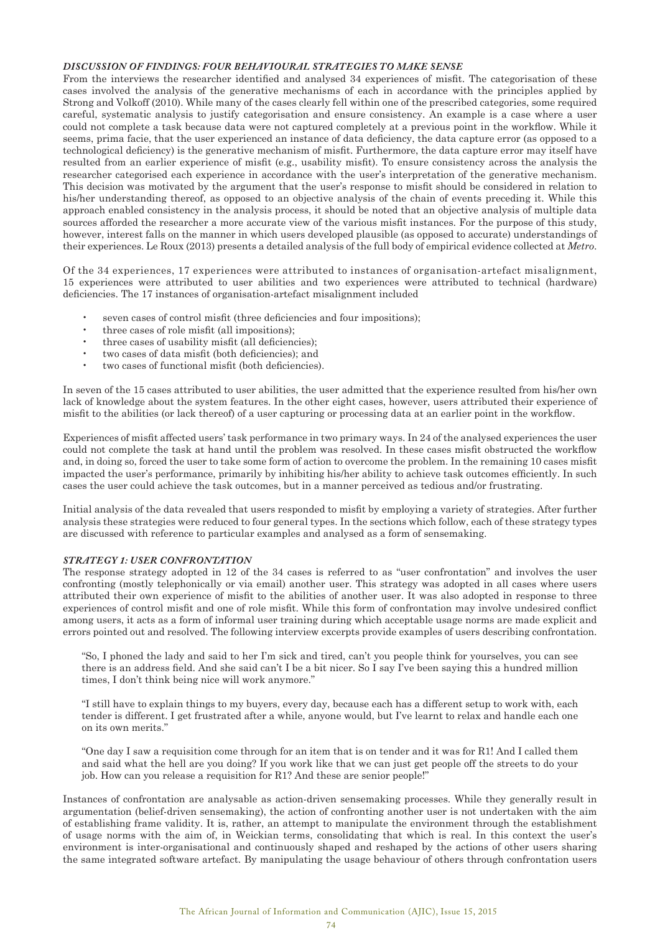## *DISCUSSION OF FINDINGS: FOUR BEHAVIOURAL STRATEGIES TO MAKE SENSE*

From the interviews the researcher identified and analysed 34 experiences of misfit. The categorisation of these cases involved the analysis of the generative mechanisms of each in accordance with the principles applied by Strong and Volkoff (2010). While many of the cases clearly fell within one of the prescribed categories, some required careful, systematic analysis to justify categorisation and ensure consistency. An example is a case where a user could not complete a task because data were not captured completely at a previous point in the workflow. While it seems, prima facie, that the user experienced an instance of data deficiency, the data capture error (as opposed to a technological deficiency) is the generative mechanism of misfit. Furthermore, the data capture error may itself have resulted from an earlier experience of misfit (e.g., usability misfit). To ensure consistency across the analysis the researcher categorised each experience in accordance with the user's interpretation of the generative mechanism. This decision was motivated by the argument that the user's response to misfit should be considered in relation to his/her understanding thereof, as opposed to an objective analysis of the chain of events preceding it. While this approach enabled consistency in the analysis process, it should be noted that an objective analysis of multiple data sources afforded the researcher a more accurate view of the various misfit instances. For the purpose of this study, however, interest falls on the manner in which users developed plausible (as opposed to accurate) understandings of their experiences. Le Roux (2013) presents a detailed analysis of the full body of empirical evidence collected at *Metro*.

Of the 34 experiences, 17 experiences were attributed to instances of organisation-artefact misalignment, 15 experiences were attributed to user abilities and two experiences were attributed to technical (hardware) deficiencies. The 17 instances of organisation-artefact misalignment included

- seven cases of control misfit (three deficiencies and four impositions);
- three cases of role misfit (all impositions);
- three cases of usability misfit (all deficiencies);
- two cases of data misfit (both deficiencies); and
- two cases of functional misfit (both deficiencies).

In seven of the 15 cases attributed to user abilities, the user admitted that the experience resulted from his/her own lack of knowledge about the system features. In the other eight cases, however, users attributed their experience of misfit to the abilities (or lack thereof) of a user capturing or processing data at an earlier point in the workflow.

Experiences of misfit affected users' task performance in two primary ways. In 24 of the analysed experiences the user could not complete the task at hand until the problem was resolved. In these cases misfit obstructed the workflow and, in doing so, forced the user to take some form of action to overcome the problem. In the remaining 10 cases misfit impacted the user's performance, primarily by inhibiting his/her ability to achieve task outcomes efficiently. In such cases the user could achieve the task outcomes, but in a manner perceived as tedious and/or frustrating.

Initial analysis of the data revealed that users responded to misfit by employing a variety of strategies. After further analysis these strategies were reduced to four general types. In the sections which follow, each of these strategy types are discussed with reference to particular examples and analysed as a form of sensemaking.

## *STRATEGY 1: USER CONFRONTATION*

The response strategy adopted in 12 of the 34 cases is referred to as "user confrontation" and involves the user confronting (mostly telephonically or via email) another user. This strategy was adopted in all cases where users attributed their own experience of misfit to the abilities of another user. It was also adopted in response to three experiences of control misfit and one of role misfit. While this form of confrontation may involve undesired conflict among users, it acts as a form of informal user training during which acceptable usage norms are made explicit and errors pointed out and resolved. The following interview excerpts provide examples of users describing confrontation.

"So, I phoned the lady and said to her I'm sick and tired, can't you people think for yourselves, you can see there is an address field. And she said can't I be a bit nicer. So I say I've been saying this a hundred million times, I don't think being nice will work anymore."

"I still have to explain things to my buyers, every day, because each has a different setup to work with, each tender is different. I get frustrated after a while, anyone would, but I've learnt to relax and handle each one on its own merits."

"One day I saw a requisition come through for an item that is on tender and it was for R1! And I called them and said what the hell are you doing? If you work like that we can just get people off the streets to do your job. How can you release a requisition for R1? And these are senior people!"

Instances of confrontation are analysable as action-driven sensemaking processes. While they generally result in argumentation (belief-driven sensemaking), the action of confronting another user is not undertaken with the aim of establishing frame validity. It is, rather, an attempt to manipulate the environment through the establishment of usage norms with the aim of, in Weickian terms, consolidating that which is real. In this context the user's environment is inter-organisational and continuously shaped and reshaped by the actions of other users sharing the same integrated software artefact. By manipulating the usage behaviour of others through confrontation users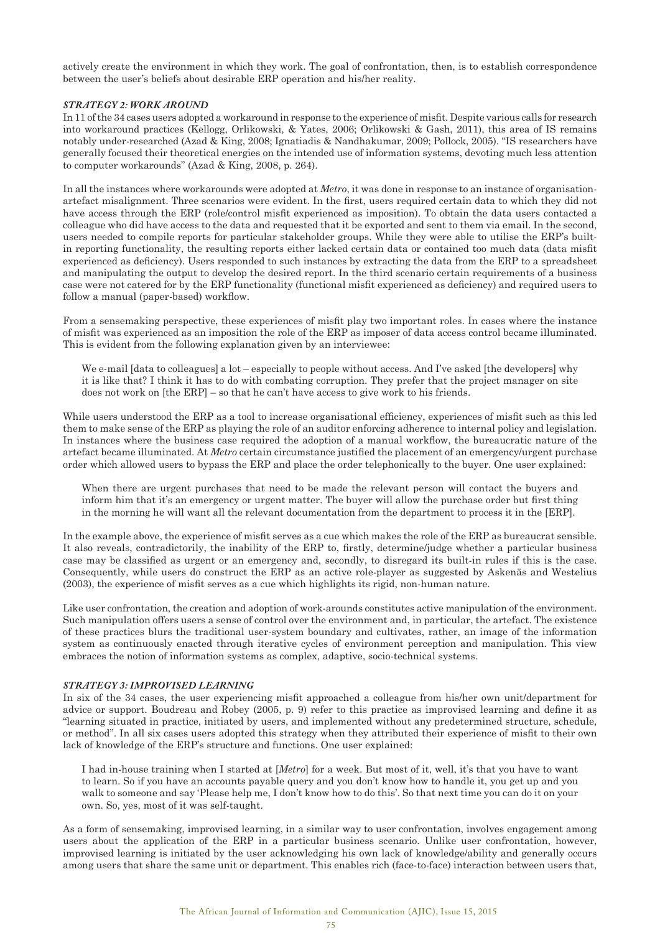actively create the environment in which they work. The goal of confrontation, then, is to establish correspondence between the user's beliefs about desirable ERP operation and his/her reality.

## *STRATEGY 2: WORK AROUND*

In 11 of the 34 cases users adopted a workaround in response to the experience of misfit. Despite various calls for research into workaround practices (Kellogg, Orlikowski, & Yates, 2006; Orlikowski & Gash, 2011), this area of IS remains notably under-researched (Azad & King, 2008; Ignatiadis & Nandhakumar, 2009; Pollock, 2005). "IS researchers have generally focused their theoretical energies on the intended use of information systems, devoting much less attention to computer workarounds" (Azad & King, 2008, p. 264).

In all the instances where workarounds were adopted at *Metro*, it was done in response to an instance of organisationartefact misalignment. Three scenarios were evident. In the first, users required certain data to which they did not have access through the ERP (role/control misfit experienced as imposition). To obtain the data users contacted a colleague who did have access to the data and requested that it be exported and sent to them via email. In the second, users needed to compile reports for particular stakeholder groups. While they were able to utilise the ERP's builtin reporting functionality, the resulting reports either lacked certain data or contained too much data (data misfit experienced as deficiency). Users responded to such instances by extracting the data from the ERP to a spreadsheet and manipulating the output to develop the desired report. In the third scenario certain requirements of a business case were not catered for by the ERP functionality (functional misfit experienced as deficiency) and required users to follow a manual (paper-based) workflow.

From a sensemaking perspective, these experiences of misfit play two important roles. In cases where the instance of misfit was experienced as an imposition the role of the ERP as imposer of data access control became illuminated. This is evident from the following explanation given by an interviewee:

We e-mail [data to colleagues] a lot – especially to people without access. And I've asked [the developers] why it is like that? I think it has to do with combating corruption. They prefer that the project manager on site does not work on [the ERP] – so that he can't have access to give work to his friends.

While users understood the ERP as a tool to increase organisational efficiency, experiences of misfit such as this led them to make sense of the ERP as playing the role of an auditor enforcing adherence to internal policy and legislation. In instances where the business case required the adoption of a manual workflow, the bureaucratic nature of the artefact became illuminated. At *Metro* certain circumstance justified the placement of an emergency/urgent purchase order which allowed users to bypass the ERP and place the order telephonically to the buyer. One user explained:

When there are urgent purchases that need to be made the relevant person will contact the buyers and inform him that it's an emergency or urgent matter. The buyer will allow the purchase order but first thing in the morning he will want all the relevant documentation from the department to process it in the [ERP].

In the example above, the experience of misfit serves as a cue which makes the role of the ERP as bureaucrat sensible. It also reveals, contradictorily, the inability of the ERP to, firstly, determine/judge whether a particular business case may be classified as urgent or an emergency and, secondly, to disregard its built-in rules if this is the case. Consequently, while users do construct the ERP as an active role-player as suggested by Askenäs and Westelius (2003), the experience of misfit serves as a cue which highlights its rigid, non-human nature.

Like user confrontation, the creation and adoption of work-arounds constitutes active manipulation of the environment. Such manipulation offers users a sense of control over the environment and, in particular, the artefact. The existence of these practices blurs the traditional user-system boundary and cultivates, rather, an image of the information system as continuously enacted through iterative cycles of environment perception and manipulation. This view embraces the notion of information systems as complex, adaptive, socio-technical systems.

#### *STRATEGY 3: IMPROVISED LEARNING*

In six of the 34 cases, the user experiencing misfit approached a colleague from his/her own unit/department for advice or support. Boudreau and Robey (2005, p. 9) refer to this practice as improvised learning and define it as "learning situated in practice, initiated by users, and implemented without any predetermined structure, schedule, or method". In all six cases users adopted this strategy when they attributed their experience of misfit to their own lack of knowledge of the ERP's structure and functions. One user explained:

I had in-house training when I started at [*Metro*] for a week. But most of it, well, it's that you have to want to learn. So if you have an accounts payable query and you don't know how to handle it, you get up and you walk to someone and say 'Please help me, I don't know how to do this'. So that next time you can do it on your own. So, yes, most of it was self-taught.

As a form of sensemaking, improvised learning, in a similar way to user confrontation, involves engagement among users about the application of the ERP in a particular business scenario. Unlike user confrontation, however, improvised learning is initiated by the user acknowledging his own lack of knowledge/ability and generally occurs among users that share the same unit or department. This enables rich (face-to-face) interaction between users that,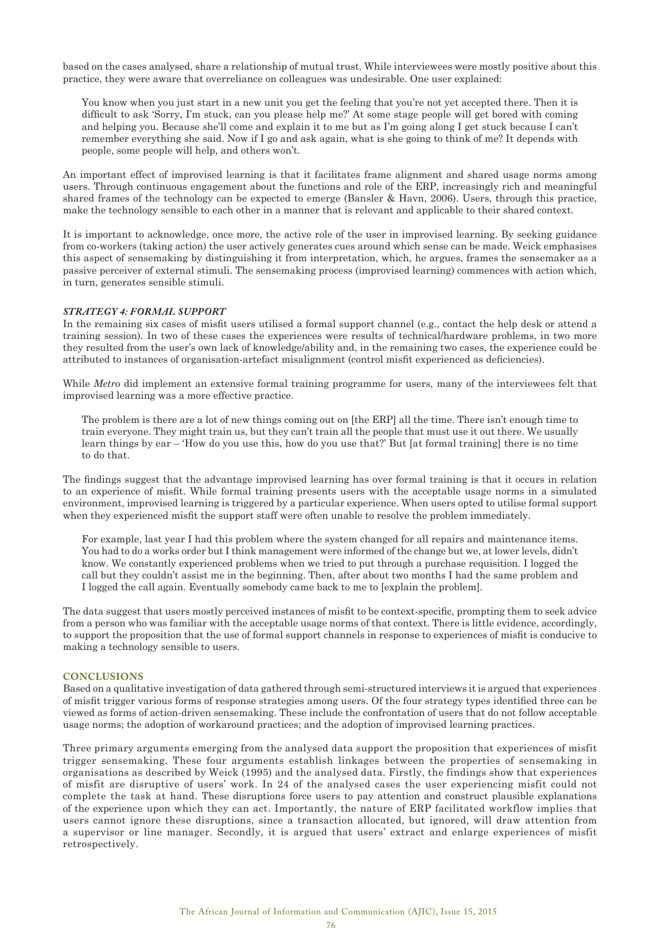based on the cases analysed, share a relationship of mutual trust. While interviewees were mostly positive about this practice, they were aware that overreliance on colleagues was undesirable. One user explained:

You know when you just start in a new unit you get the feeling that you're not yet accepted there. Then it is difficult to ask 'Sorry, I'm stuck, can you please help me?' At some stage people will get bored with coming and helping you. Because she'll come and explain it to me but as I'm going along I get stuck because I can't remember everything she said. Now if I go and ask again, what is she going to think of me? It depends with people, some people will help, and others won't.

An important effect of improvised learning is that it facilitates frame alignment and shared usage norms among users. Through continuous engagement about the functions and role of the ERP, increasingly rich and meaningful shared frames of the technology can be expected to emerge (Bansler & Havn, 2006). Users, through this practice, make the technology sensible to each other in a manner that is relevant and applicable to their shared context.

It is important to acknowledge, once more, the active role of the user in improvised learning. By seeking guidance from co-workers (taking action) the user actively generates cues around which sense can be made. Weick emphasises this aspect of sensemaking by distinguishing it from interpretation, which, he argues, frames the sensemaker as a passive perceiver of external stimuli. The sensemaking process (improvised learning) commences with action which, in turn, generates sensible stimuli.

## *STRATEGY 4: FORMAL SUPPORT*

In the remaining six cases of misfit users utilised a formal support channel (e.g., contact the help desk or attend a training session). In two of these cases the experiences were results of technical/hardware problems, in two more they resulted from the user's own lack of knowledge/ability and, in the remaining two cases, the experience could be attributed to instances of organisation-artefact misalignment (control misfit experienced as deficiencies).

While *Metro* did implement an extensive formal training programme for users, many of the interviewees felt that improvised learning was a more effective practice.

The problem is there are a lot of new things coming out on [the ERP] all the time. There isn't enough time to train everyone. They might train us, but they can't train all the people that must use it out there. We usually learn things by ear – 'How do you use this, how do you use that?' But [at formal training] there is no time to do that.

The findings suggest that the advantage improvised learning has over formal training is that it occurs in relation to an experience of misfit. While formal training presents users with the acceptable usage norms in a simulated environment, improvised learning is triggered by a particular experience. When users opted to utilise formal support when they experienced misfit the support staff were often unable to resolve the problem immediately.

For example, last year I had this problem where the system changed for all repairs and maintenance items. You had to do a works order but I think management were informed of the change but we, at lower levels, didn't know. We constantly experienced problems when we tried to put through a purchase requisition. I logged the call but they couldn't assist me in the beginning. Then, after about two months I had the same problem and I logged the call again. Eventually somebody came back to me to [explain the problem].

The data suggest that users mostly perceived instances of misfit to be context-specific, prompting them to seek advice from a person who was familiar with the acceptable usage norms of that context. There is little evidence, accordingly, to support the proposition that the use of formal support channels in response to experiences of misfit is conducive to making a technology sensible to users.

#### **CONCLUSIONS**

Based on a qualitative investigation of data gathered through semi-structured interviews it is argued that experiences of misfit trigger various forms of response strategies among users. Of the four strategy types identified three can be viewed as forms of action-driven sensemaking. These include the confrontation of users that do not follow acceptable usage norms; the adoption of workaround practices; and the adoption of improvised learning practices.

Three primary arguments emerging from the analysed data support the proposition that experiences of misfit trigger sensemaking. These four arguments establish linkages between the properties of sensemaking in organisations as described by Weick (1995) and the analysed data. Firstly, the findings show that experiences of misfit are disruptive of users' work. In 24 of the analysed cases the user experiencing misfit could not complete the task at hand. These disruptions force users to pay attention and construct plausible explanations of the experience upon which they can act. Importantly, the nature of ERP facilitated workflow implies that users cannot ignore these disruptions, since a transaction allocated, but ignored, will draw attention from a supervisor or line manager. Secondly, it is argued that users' extract and enlarge experiences of misfit retrospectively.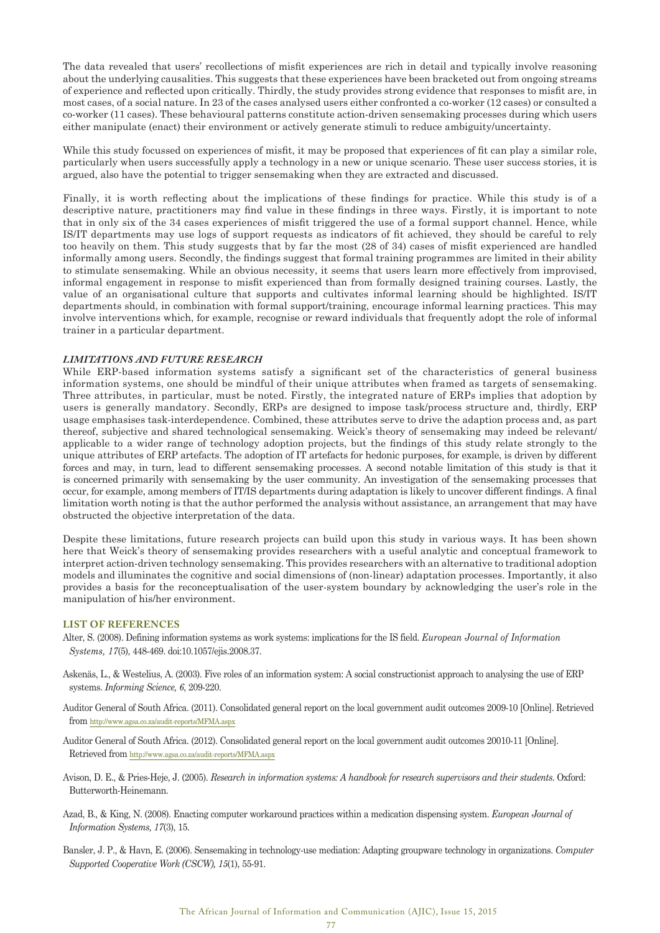The data revealed that users' recollections of misfit experiences are rich in detail and typically involve reasoning about the underlying causalities. This suggests that these experiences have been bracketed out from ongoing streams of experience and reflected upon critically. Thirdly, the study provides strong evidence that responses to misfit are, in most cases, of a social nature. In 23 of the cases analysed users either confronted a co-worker (12 cases) or consulted a co-worker (11 cases). These behavioural patterns constitute action-driven sensemaking processes during which users either manipulate (enact) their environment or actively generate stimuli to reduce ambiguity/uncertainty.

While this study focussed on experiences of misfit, it may be proposed that experiences of fit can play a similar role, particularly when users successfully apply a technology in a new or unique scenario. These user success stories, it is argued, also have the potential to trigger sensemaking when they are extracted and discussed.

Finally, it is worth reflecting about the implications of these findings for practice. While this study is of a descriptive nature, practitioners may find value in these findings in three ways. Firstly, it is important to note that in only six of the 34 cases experiences of misfit triggered the use of a formal support channel. Hence, while IS/IT departments may use logs of support requests as indicators of fit achieved, they should be careful to rely too heavily on them. This study suggests that by far the most (28 of 34) cases of misfit experienced are handled informally among users. Secondly, the findings suggest that formal training programmes are limited in their ability to stimulate sensemaking. While an obvious necessity, it seems that users learn more effectively from improvised, informal engagement in response to misfit experienced than from formally designed training courses. Lastly, the value of an organisational culture that supports and cultivates informal learning should be highlighted. IS/IT departments should, in combination with formal support/training, encourage informal learning practices. This may involve interventions which, for example, recognise or reward individuals that frequently adopt the role of informal trainer in a particular department.

#### *LIMITATIONS AND FUTURE RESEARCH*

While ERP-based information systems satisfy a significant set of the characteristics of general business information systems, one should be mindful of their unique attributes when framed as targets of sensemaking. Three attributes, in particular, must be noted. Firstly, the integrated nature of ERPs implies that adoption by users is generally mandatory. Secondly, ERPs are designed to impose task/process structure and, thirdly, ERP usage emphasises task-interdependence. Combined, these attributes serve to drive the adaption process and, as part thereof, subjective and shared technological sensemaking. Weick's theory of sensemaking may indeed be relevant/ applicable to a wider range of technology adoption projects, but the findings of this study relate strongly to the unique attributes of ERP artefacts. The adoption of IT artefacts for hedonic purposes, for example, is driven by different forces and may, in turn, lead to different sensemaking processes. A second notable limitation of this study is that it is concerned primarily with sensemaking by the user community. An investigation of the sensemaking processes that occur, for example, among members of IT/IS departments during adaptation is likely to uncover different findings. A final limitation worth noting is that the author performed the analysis without assistance, an arrangement that may have obstructed the objective interpretation of the data.

Despite these limitations, future research projects can build upon this study in various ways. It has been shown here that Weick's theory of sensemaking provides researchers with a useful analytic and conceptual framework to interpret action-driven technology sensemaking. This provides researchers with an alternative to traditional adoption models and illuminates the cognitive and social dimensions of (non-linear) adaptation processes. Importantly, it also provides a basis for the reconceptualisation of the user-system boundary by acknowledging the user's role in the manipulation of his/her environment.

#### **LIST OF REFERENCES**

- Alter, S. (2008). Defining information systems as work systems: implications for the IS field. *European Journal of Information Systems, 17*(5), 448-469. doi:10.1057/ejis.2008.37.
- Askenäs, L., & Westelius, A. (2003). Five roles of an information system: A social constructionist approach to analysing the use of ERP systems. *Informing Science, 6*, 209-220.
- Auditor General of South Africa. (2011). Consolidated general report on the local government audit outcomes 2009-10 [Online]. Retrieved from http://www.agsa.co.za/audit-reports/MFMA.aspx
- Auditor General of South Africa. (2012). Consolidated general report on the local government audit outcomes 20010-11 [Online]. Retrieved from http://www.agsa.co.za/audit-reports/MFMA.aspx
- Avison, D. E., & Pries-Heje, J. (2005). *Research in information systems: A handbook for research supervisors and their students*. Oxford: Butterworth-Heinemann.
- Azad, B., & King, N. (2008). Enacting computer workaround practices within a medication dispensing system. *European Journal of Information Systems, 17*(3), 15.
- Bansler, J. P., & Havn, E. (2006). Sensemaking in technology-use mediation: Adapting groupware technology in organizations. *Computer Supported Cooperative Work (CSCW), 15*(1), 55-91.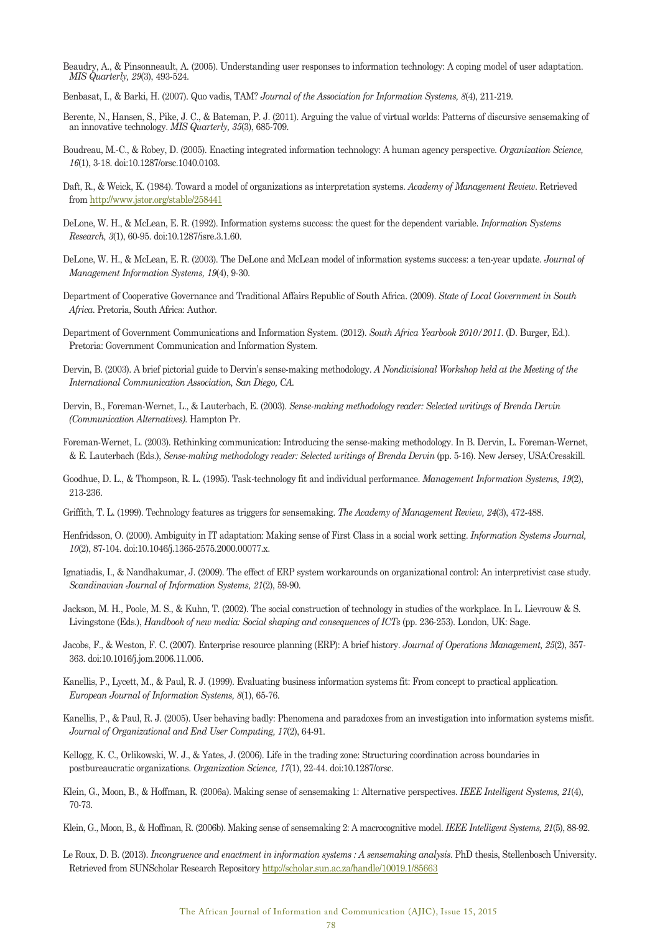Beaudry, A., & Pinsonneault, A. (2005). Understanding user responses to information technology: A coping model of user adaptation. *MIS Quarterly, 29*(3), 493-524.

Benbasat, I., & Barki, H. (2007). Quo vadis, TAM? *Journal of the Association for Information Systems, 8*(4), 211-219.

- Berente, N., Hansen, S., Pike, J. C., & Bateman, P. J. (2011). Arguing the value of virtual worlds: Patterns of discursive sensemaking of an innovative technology. *MIS Quarterly, 35*(3), 685-709.
- Boudreau, M.-C., & Robey, D. (2005). Enacting integrated information technology: A human agency perspective. *Organization Science, 16*(1), 3-18. doi:10.1287/orsc.1040.0103.
- Daft, R., & Weick, K. (1984). Toward a model of organizations as interpretation systems. *Academy of Management Review*. Retrieved from http://www.jstor.org/stable/258441
- DeLone, W. H., & McLean, E. R. (1992). Information systems success: the quest for the dependent variable. *Information Systems Research, 3*(1), 60-95. doi:10.1287/isre.3.1.60.
- DeLone, W. H., & McLean, E. R. (2003). The DeLone and McLean model of information systems success: a ten-year update. *Journal of Management Information Systems, 19*(4), 9-30.
- Department of Cooperative Governance and Traditional Affairs Republic of South Africa. (2009). *State of Local Government in South Africa*. Pretoria, South Africa: Author.
- Department of Government Communications and Information System. (2012). *South Africa Yearbook 2010/2011*. (D. Burger, Ed.). Pretoria: Government Communication and Information System.
- Dervin, B. (2003). A brief pictorial guide to Dervin's sense-making methodology. *A Nondivisional Workshop held at the Meeting of the International Communication Association, San Diego, CA.*
- Dervin, B., Foreman-Wernet, L., & Lauterbach, E. (2003). *Sense-making methodology reader: Selected writings of Brenda Dervin (Communication Alternatives)*. Hampton Pr.
- Foreman-Wernet, L. (2003). Rethinking communication: Introducing the sense-making methodology. In B. Dervin, L. Foreman-Wernet, & E. Lauterbach (Eds.), *Sense-making methodology reader: Selected writings of Brenda Dervin* (pp. 5-16). New Jersey, USA:Cresskill.
- Goodhue, D. L., & Thompson, R. L. (1995). Task-technology fit and individual performance. *Management Information Systems, 19*(2), 213-236.
- Griffith, T. L. (1999). Technology features as triggers for sensemaking. *The Academy of Management Review, 24*(3), 472-488.
- Henfridsson, O. (2000). Ambiguity in IT adaptation: Making sense of First Class in a social work setting. *Information Systems Journal, 10*(2), 87-104. doi:10.1046/j.1365-2575.2000.00077.x.
- Ignatiadis, I., & Nandhakumar, J. (2009). The effect of ERP system workarounds on organizational control: An interpretivist case study. *Scandinavian Journal of Information Systems, 21*(2), 59-90.
- Jackson, M. H., Poole, M. S., & Kuhn, T. (2002). The social construction of technology in studies of the workplace. In L. Lievrouw & S. Livingstone (Eds.), *Handbook of new media: Social shaping and consequences of ICTs* (pp. 236-253). London, UK: Sage.
- Jacobs, F., & Weston, F. C. (2007). Enterprise resource planning (ERP): A brief history. *Journal of Operations Management, 25*(2), 357- 363. doi:10.1016/j.jom.2006.11.005.
- Kanellis, P., Lycett, M., & Paul, R. J. (1999). Evaluating business information systems fit: From concept to practical application. *European Journal of Information Systems, 8*(1), 65-76.
- Kanellis, P., & Paul, R. J. (2005). User behaving badly: Phenomena and paradoxes from an investigation into information systems misfit. *Journal of Organizational and End User Computing, 17*(2), 64-91.
- Kellogg, K. C., Orlikowski, W. J., & Yates, J. (2006). Life in the trading zone: Structuring coordination across boundaries in postbureaucratic organizations. *Organization Science, 17*(1), 22-44. doi:10.1287/orsc.
- Klein, G., Moon, B., & Hoffman, R. (2006a). Making sense of sensemaking 1: Alternative perspectives. *IEEE Intelligent Systems, 21*(4), 70-73.
- Klein, G., Moon, B., & Hoffman, R. (2006b). Making sense of sensemaking 2: A macrocognitive model. *IEEE Intelligent Systems, 21*(5), 88-92.
- Le Roux, D. B. (2013). *Incongruence and enactment in information systems : A sensemaking analysis*. PhD thesis, Stellenbosch University. Retrieved from SUNScholar Research Repository http://scholar.sun.ac.za/handle/10019.1/85663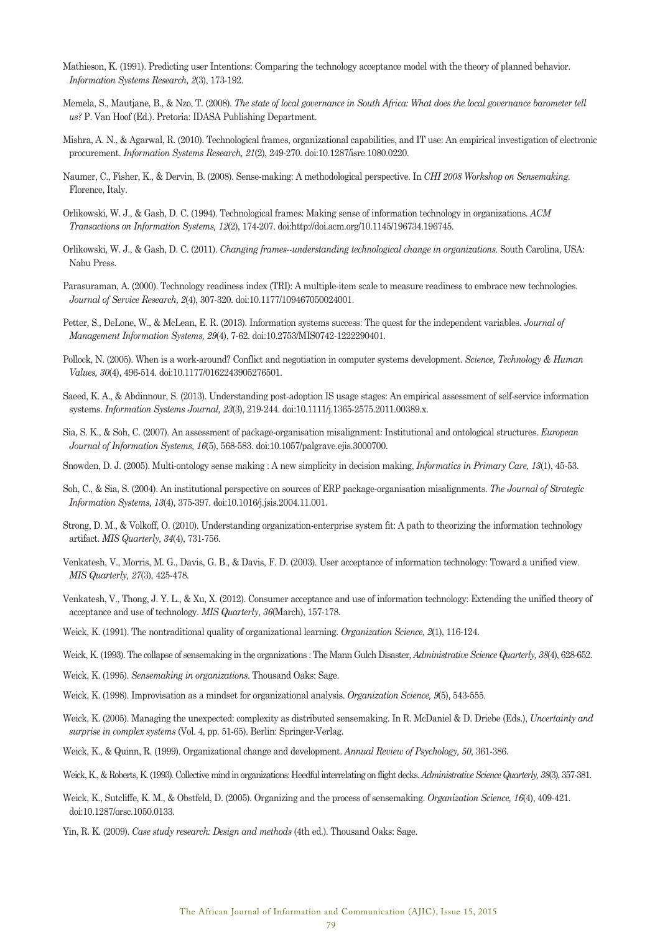- Mathieson, K. (1991). Predicting user Intentions: Comparing the technology acceptance model with the theory of planned behavior. *Information Systems Research, 2*(3), 173-192.
- Memela, S., Mautjane, B., & Nzo, T. (2008). *The state of local governance in South Africa: What does the local governance barometer tell us?* P. Van Hoof (Ed.). Pretoria: IDASA Publishing Department.
- Mishra, A. N., & Agarwal, R. (2010). Technological frames, organizational capabilities, and IT use: An empirical investigation of electronic procurement. *Information Systems Research, 21*(2), 249-270. doi:10.1287/isre.1080.0220.
- Naumer, C., Fisher, K., & Dervin, B. (2008). Sense-making: A methodological perspective. In *CHI 2008 Workshop on Sensemaking*. Florence, Italy.
- Orlikowski, W. J., & Gash, D. C. (1994). Technological frames: Making sense of information technology in organizations. *ACM Transactions on Information Systems, 12*(2), 174-207. doi:http://doi.acm.org/10.1145/196734.196745.
- Orlikowski, W. J., & Gash, D. C. (2011). *Changing frames--understanding technological change in organizations*. South Carolina, USA: Nabu Press.
- Parasuraman, A. (2000). Technology readiness index (TRI): A multiple-item scale to measure readiness to embrace new technologies. *Journal of Service Research, 2*(4), 307-320. doi:10.1177/109467050024001.
- Petter, S., DeLone, W., & McLean, E. R. (2013). Information systems success: The quest for the independent variables. *Journal of Management Information Systems, 29*(4), 7-62. doi:10.2753/MIS0742-1222290401.
- Pollock, N. (2005). When is a work-around? Conflict and negotiation in computer systems development. *Science, Technology & Human Values, 30*(4), 496-514. doi:10.1177/0162243905276501.
- Saeed, K. A., & Abdinnour, S. (2013). Understanding post-adoption IS usage stages: An empirical assessment of self-service information systems. *Information Systems Journal, 23*(3), 219-244. doi:10.1111/j.1365-2575.2011.00389.x.
- Sia, S. K., & Soh, C. (2007). An assessment of package-organisation misalignment: Institutional and ontological structures. *European Journal of Information Systems, 16*(5), 568-583. doi:10.1057/palgrave.ejis.3000700.
- Snowden, D. J. (2005). Multi-ontology sense making : A new simplicity in decision making, *Informatics in Primary Care, 13*(1), 45-53.
- Soh, C., & Sia, S. (2004). An institutional perspective on sources of ERP package-organisation misalignments. *The Journal of Strategic Information Systems, 13*(4), 375-397. doi:10.1016/j.jsis.2004.11.001.
- Strong, D. M., & Volkoff, O. (2010). Understanding organization-enterprise system fit: A path to theorizing the information technology artifact. *MIS Quarterly, 34*(4), 731-756.
- Venkatesh, V., Morris, M. G., Davis, G. B., & Davis, F. D. (2003). User acceptance of information technology: Toward a unified view. *MIS Quarterly, 27*(3), 425-478.
- Venkatesh, V., Thong, J. Y. L., & Xu, X. (2012). Consumer acceptance and use of information technology: Extending the unified theory of acceptance and use of technology. *MIS Quarterly, 36*(March), 157-178.
- Weick, K. (1991). The nontraditional quality of organizational learning. *Organization Science, 2*(1), 116-124.
- Weick, K. (1993). The collapse of sensemaking in the organizations : The Mann Gulch Disaster, *Administrative Science Quarterly, 38*(4), 628-652.
- Weick, K. (1995). *Sensemaking in organizations*. Thousand Oaks: Sage.
- Weick, K. (1998). Improvisation as a mindset for organizational analysis. *Organization Science, 9*(5), 543-555.
- Weick, K. (2005). Managing the unexpected: complexity as distributed sensemaking. In R. McDaniel & D. Driebe (Eds.), *Uncertainty and surprise in complex systems* (Vol. 4, pp. 51-65). Berlin: Springer-Verlag.
- Weick, K., & Quinn, R. (1999). Organizational change and development. *Annual Review of Psychology, 50*, 361-386.
- Weick, K., & Roberts, K. (1993). Collective mind in organizations: Heedful interrelating on flight decks. *Administrative Science Quarterly, 38*(3), 357-381.
- Weick, K., Sutcliffe, K. M., & Obstfeld, D. (2005). Organizing and the process of sensemaking. *Organization Science, 16*(4), 409-421. doi:10.1287/orsc.1050.0133.
- Yin, R. K. (2009). *Case study research: Design and methods* (4th ed.). Thousand Oaks: Sage.